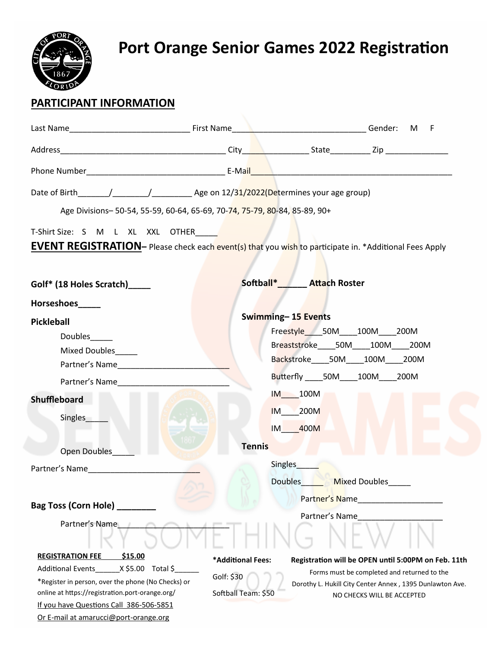

## **Port Orange Senior Games 2022 Registration**

## **PARTICIPANT INFORMATION**

|                                                                                                                                                                                                                                                                                        | Last Name Contact Name Contact Name Contact Name Contact Name Contact Name Contact Name Contact Name Contact Name Contact Name Contact Name Contact Name Contact Name Contact Name Contact Name Contact Name Contact Name Cont<br>M F                                                                                                                                                                                 |
|----------------------------------------------------------------------------------------------------------------------------------------------------------------------------------------------------------------------------------------------------------------------------------------|-----------------------------------------------------------------------------------------------------------------------------------------------------------------------------------------------------------------------------------------------------------------------------------------------------------------------------------------------------------------------------------------------------------------------|
|                                                                                                                                                                                                                                                                                        |                                                                                                                                                                                                                                                                                                                                                                                                                       |
|                                                                                                                                                                                                                                                                                        |                                                                                                                                                                                                                                                                                                                                                                                                                       |
|                                                                                                                                                                                                                                                                                        | Date of Birth $\frac{1}{\frac{1}{\sqrt{1-\frac{1}{\sqrt{1-\frac{1}{\sqrt{1-\frac{1}{\sqrt{1-\frac{1}{\sqrt{1-\frac{1}{\sqrt{1-\frac{1}{\sqrt{1-\frac{1}{\sqrt{1-\frac{1}{\sqrt{1-\frac{1}{\sqrt{1-\frac{1}{\sqrt{1-\frac{1}{\sqrt{1-\frac{1}{\sqrt{1-\frac{1}{\sqrt{1-\frac{1}{\sqrt{1-\frac{1}{\sqrt{1-\frac{1}{\sqrt{1-\frac{1}{\sqrt{1-\frac{1}{\sqrt{1-\frac{1}{\sqrt{1-\frac{1}{\sqrt{1-\frac{1}{\sqrt{1-\frac{$ |
|                                                                                                                                                                                                                                                                                        | Age Divisions-50-54, 55-59, 60-64, 65-69, 70-74, 75-79, 80-84, 85-89, 90+                                                                                                                                                                                                                                                                                                                                             |
| T-Shirt Size: S M L XL XXL OTHER                                                                                                                                                                                                                                                       | <b>EVENT REGISTRATION</b> - Please check each event(s) that you wish to participate in. *Additional Fees Apply                                                                                                                                                                                                                                                                                                        |
| Golf* (18 Holes Scratch)_____                                                                                                                                                                                                                                                          | Softball*<br>Attach Roster                                                                                                                                                                                                                                                                                                                                                                                            |
| Horseshoes_____                                                                                                                                                                                                                                                                        |                                                                                                                                                                                                                                                                                                                                                                                                                       |
| <b>Pickleball</b><br>Doubles<br><b>Mixed Doubles</b><br>Partner's Name and the state of the state of the state of the state of the state of the state of the state of the state of the state of the state of the state of the state of the state of the state of the state of the stat | Swimming-15 Events<br>Freestyle 50M 100M 200M<br>Breaststroke 50M 100M 200M<br>Backstroke 50M 100M 200M<br>Butterfly 50M 100M 200M                                                                                                                                                                                                                                                                                    |
| Partner's Name and the state of the state of the state of the state of the state of the state of the state of the state of the state of the state of the state of the state of the state of the state of the state of the stat                                                         | IM 100M                                                                                                                                                                                                                                                                                                                                                                                                               |
| <b>Shuffleboard</b><br>Singles_                                                                                                                                                                                                                                                        | <b>IM</b> 200M<br>IM 400M                                                                                                                                                                                                                                                                                                                                                                                             |
| <b>Open Doubles</b>                                                                                                                                                                                                                                                                    | <b>Tennis</b>                                                                                                                                                                                                                                                                                                                                                                                                         |
| Partner's Name and the state of the state of the state of the state of the state of the state of the state of the state of the state of the state of the state of the state of the state of the state of the state of the stat                                                         | Singles_<br><b>Doubles</b><br><b>Mixed Doubles</b><br>Partner's Name                                                                                                                                                                                                                                                                                                                                                  |
| <b>Bag Toss (Corn Hole)</b>                                                                                                                                                                                                                                                            | Partner's Name                                                                                                                                                                                                                                                                                                                                                                                                        |
| Partner's Name                                                                                                                                                                                                                                                                         |                                                                                                                                                                                                                                                                                                                                                                                                                       |
| <b>REGISTRATION FEE</b><br>\$15.00                                                                                                                                                                                                                                                     | *Additional Fees:<br>Registration will be OPEN until 5:00PM on Feb. 11th                                                                                                                                                                                                                                                                                                                                              |
| X \$5.00 Total \$<br><b>Additional Events</b><br>*Register in person, over the phone (No Checks) or<br>online at https://registration.port-orange.org/<br>If you have Questions Call 386-506-5851<br>Or E-mail at amarucci@port-orange.org                                             | Forms must be completed and returned to the<br>Golf: \$30<br>Dorothy L. Hukill City Center Annex, 1395 Dunlawton Ave.<br>Softball Team: \$50<br>NO CHECKS WILL BE ACCEPTED                                                                                                                                                                                                                                            |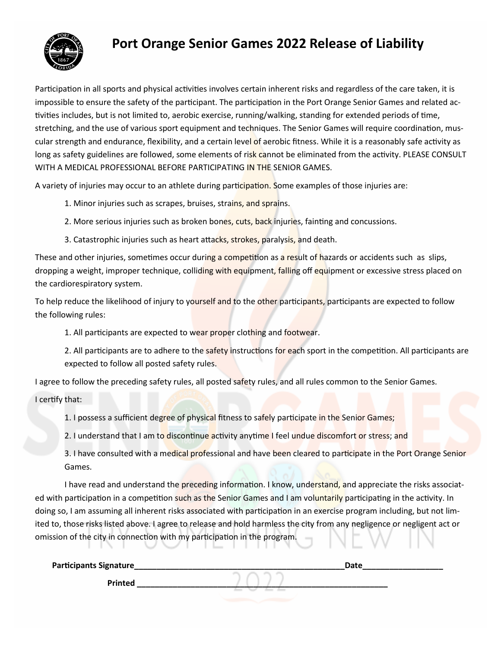

## **Port Orange Senior Games 2022 Release of Liability**

Participation in all sports and physical activities involves certain inherent risks and regardless of the care taken, it is impossible to ensure the safety of the participant. The participation in the Port Orange Senior Games and related activities includes, but is not limited to, aerobic exercise, running/walking, standing for extended periods of time, stretching, and the use of various sport equipment and techniques. The Senior Games will require coordination, muscular strength and endurance, flexibility, and a certain level of aerobic fitness. While it is a reasonably safe activity as long as safety guidelines are followed, some elements of risk cannot be eliminated from the activity. PLEASE CONSULT WITH A MEDICAL PROFESSIONAL BEFORE PARTICIPATING IN THE SENIOR GAMES.

A variety of injuries may occur to an athlete during participation. Some examples of those injuries are:

- 1. Minor injuries such as scrapes, bruises, strains, and sprains.
- 2. More serious injuries such as broken bones, cuts, back injuries, fainting and concussions.
- 3. Catastrophic injuries such as heart attacks, strokes, paralysis, and death.

These and other injuries, sometimes occur during a competition as a result of hazards or accidents such as slips, dropping a weight, improper technique, colliding with equipment, falling off equipment or excessive stress placed on the cardiorespiratory system.

To help reduce the likelihood of injury to yourself and to the other participants, participants are expected to follow the following rules:

1. All participants are expected to wear proper clothing and footwear.

2. All participants are to adhere to the safety instructions for each sport in the competition. All participants are expected to follow all posted safety rules.

I agree to follow the preceding safety rules, all posted safety rules, and all rules common to the Senior Games.

I certify that:

1. I possess a sufficient degree of physical fitness to safely participate in the Senior Games;

2. I understand that I am to discontinue activity anytime I feel undue discomfort or stress; and

3. I have consulted with a medical professional and have been cleared to participate in the Port Orange Senior Games.

I have read and understand the preceding information. I know, understand, and appreciate the risks associated with participation in a competition such as the Senior Games and I am voluntarily participating in the activity. In doing so, I am assuming all inherent risks associated with participation in an exercise program including, but not limited to, those risks listed above. I agree to release and hold harmless the city from any negligence or negligent act or omission of the city in connection with my participation in the program.

| <b>Participants Signature_</b> | <b>Date</b> |
|--------------------------------|-------------|
| <b>Printed</b>                 |             |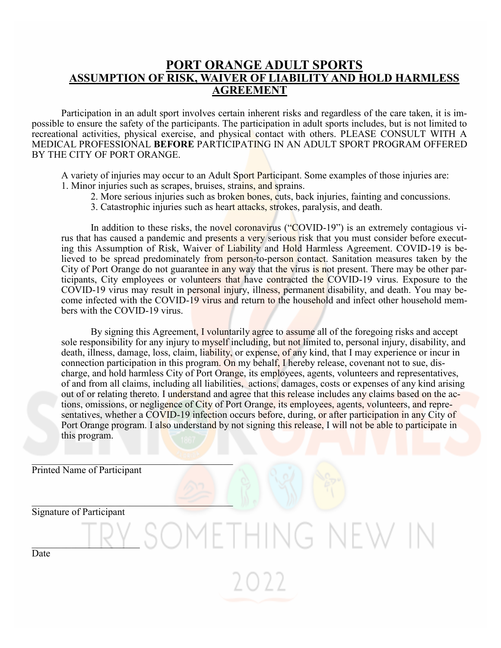#### **PORT ORANGE ADULT SPORTS ASSUMPTION OF RISK, WAIVER OF LIABILITY AND HOLD HARMLESS AGREEMENT**

Participation in an adult sport involves certain inherent risks and regardless of the care taken, it is impossible to ensure the safety of the participants. The participation in adult sports includes, but is not limited to recreational activities, physical exercise, and physical contact with others. PLEASE CONSULT WITH A MEDICAL PROFESSIONAL **BEFORE** PARTICIPATING IN AN ADULT SPORT PROGRAM OFFERED BY THE CITY OF PORT ORANGE.

A variety of injuries may occur to an Adult Sport Participant. Some examples of those injuries are: 1. Minor injuries such as scrapes, bruises, strains, and sprains.

- 2. More serious injuries such as broken bones, cuts, back injuries, fainting and concussions.
- 3. Catastrophic injuries such as heart attacks, strokes, paralysis, and death.

In addition to these risks, the novel coronavirus ("COVID-19") is an extremely contagious virus that has caused a pandemic and presents a very serious risk that you must consider before executing this Assumption of Risk, Waiver of Liability and Hold Harmless Agreement. COVID-19 is believed to be spread predominately from person-to-person contact. Sanitation measures taken by the City of Port Orange do not guarantee in any way that the virus is not present. There may be other participants, City employees or volunteers that have contracted the COVID-19 virus. Exposure to the COVID-19 virus may result in personal injury, illness, permanent disability, and death. You may become infected with the COVID-19 virus and return to the household and infect other household members with the COVID-19 virus.

By signing this Agreement, I voluntarily agree to assume all of the foregoing risks and accept sole responsibility for any injury to myself including, but not limited to, personal injury, disability, and death, illness, damage, loss, claim, liability, or expense, of any kind, that I may experience or incur in connection participation in this program. On my behalf, I hereby release, covenant not to sue, discharge, and hold harmless City of Port Orange, its employees, agents, volunteers and representatives, of and from all claims, including all liabilities, actions, damages, costs or expenses of any kind arising out of or relating thereto. I understand and agree that this release includes any claims based on the actions, omissions, or negligence of City of Port Orange, its employees, agents, volunteers, and representatives, whether a COVID-19 infection occurs before, during, or after participation in any City of Port Orange program. I also understand by not signing this release, I will not be able to participate in this program.

 $\sqrt{(-1)}$ 

 $\mathcal{N}$ 

Printed Name of Participant

Signature of Participant

 $\blacksquare$ 

Date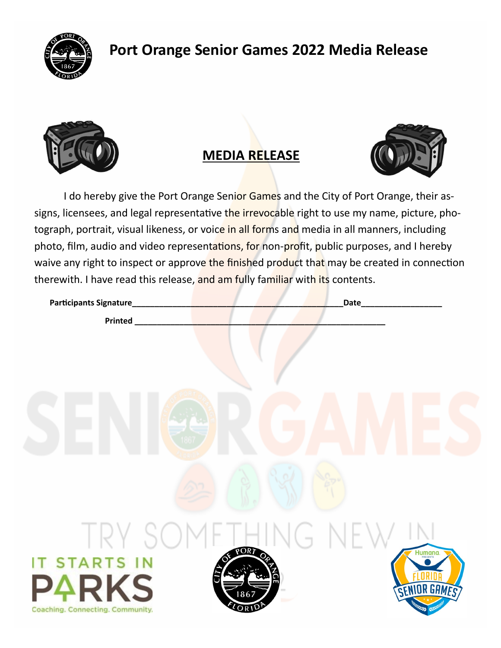

## **Port Orange Senior Games 2022 Media Release**



## **MEDIA RELEASE**



I do hereby give the Port Orange Senior Games and the City of Port Orange, their assigns, licensees, and legal representative the irrevocable right to use my name, picture, photograph, portrait, visual likeness, or voice in all forms and media in all manners, including photo, film, audio and video representations, for non-profit, public purposes, and I hereby waive any right to inspect or approve the finished product that may be created in connection therewith. I have read this release, and am fully familiar with its contents.

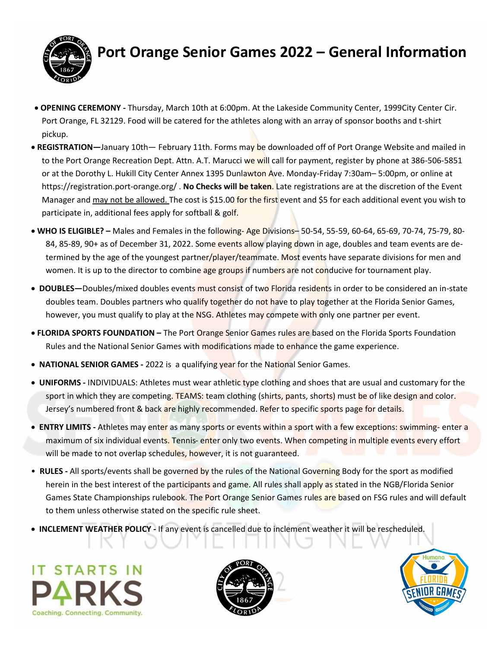

## **Port Orange Senior Games 2022 – General Information**

- **OPENING CEREMONY -** Thursday, March 10th at 6:00pm. At the Lakeside Community Center, 1999City Center Cir. Port Orange, FL 32129. Food will be catered for the athletes along with an array of sponsor booths and t-shirt pickup.
- **REGISTRATION—**January 10th— February 11th. Forms may be downloaded off of Port Orange Website and mailed in to the Port Orange Recreation Dept. Attn. A.T. Marucci we will call for payment, register by phone at 386-506-5851 or at the Dorothy L. Hukill City Center Annex 1395 Dunlawton Ave. Monday-Friday 7:30am– 5:00pm, or online at https://registration.port-orange.org/ . **No Checks will be taken**. Late registrations are at the discretion of the Event Manager and may not be allowed. The cost is \$15.00 for the first event and \$5 for each additional event you wish to participate in, additional fees apply for softball & golf.
- **WHO IS ELIGIBLE? –** Males and Females in the following- Age Divisions– 50-54, 55-59, 60-64, 65-69, 70-74, 75-79, 80- 84, 85-89, 90+ as of December 31, 2022. Some events allow playing down in age, doubles and team events are determined by the age of the youngest partner/player/teammate. Most events have separate divisions for men and women. It is up to the director to combine age groups if numbers are not conducive for tournament play.
- **DOUBLES—**Doubles/mixed doubles events must consist of two Florida residents in order to be considered an in-state doubles team. Doubles partners who qualify together do not have to play together at the Florida Senior Games, however, you must qualify to play at the NSG. Athletes may compete with only one partner per event.
- **FLORIDA SPORTS FOUNDATION –** The Port Orange Senior Games rules are based on the Florida Sports Foundation Rules and the National Senior Games with modifications made to enhance the game experience.
- **NATIONAL SENIOR GAMES -** 2022 is a qualifying year for the National Senior Games.
- **UNIFORMS -** INDIVIDUALS: Athletes must wear athletic type clothing and shoes that are usual and customary for the sport in which they are competing. TEAMS: team clothing (shirts, pants, shorts) must be of like design and color. Jersey's numbered front & back are highly recommended. Refer to specific sports page for details.
- **ENTRY LIMITS -** Athletes may enter as many sports or events within a sport with a few exceptions: swimming- enter a maximum of six individual events. Tennis- enter only two events. When competing in multiple events every effort will be made to not overlap schedules, however, it is not guaranteed.
- **RULES -** All sports/events shall be governed by the rules of the National Governing Body for the sport as modified herein in the best interest of the participants and game. All rules shall apply as stated in the NGB/Florida Senior Games State Championships rulebook. The Port Orange Senior Games rules are based on FSG rules and will default to them unless otherwise stated on the specific rule sheet.
- **INCLEMENT WEATHER POLICY -** If any event is cancelled due to inclement weather it will be rescheduled.

IT STARTS IN Coaching, Connecting, Community